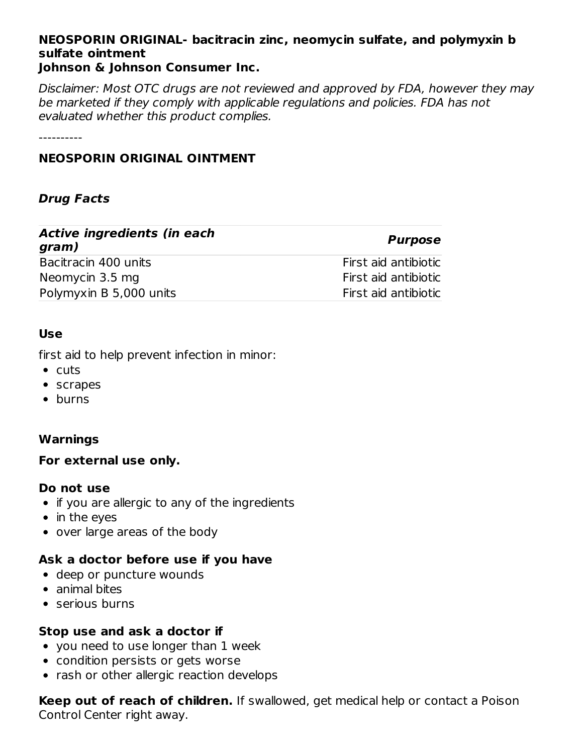#### **NEOSPORIN ORIGINAL- bacitracin zinc, neomycin sulfate, and polymyxin b sulfate ointment Johnson & Johnson Consumer Inc.**

Disclaimer: Most OTC drugs are not reviewed and approved by FDA, however they may be marketed if they comply with applicable regulations and policies. FDA has not evaluated whether this product complies.

----------

# **NEOSPORIN ORIGINAL OINTMENT**

# **Drug Facts**

| <b>Active ingredients (in each</b><br>gram) | <b>Purpose</b>       |
|---------------------------------------------|----------------------|
| Bacitracin 400 units                        | First aid antibiotic |
| Neomycin 3.5 mg                             | First aid antibiotic |
| Polymyxin B 5,000 units                     | First aid antibiotic |

## **Use**

first aid to help prevent infection in minor:

- $\bullet$  cuts
- scrapes
- burns

# **Warnings**

#### **For external use only.**

#### **Do not use**

- if you are allergic to any of the ingredients
- in the eyes
- over large areas of the body

# **Ask a doctor before use if you have**

- deep or puncture wounds
- animal bites
- serious burns

# **Stop use and ask a doctor if**

- you need to use longer than 1 week
- condition persists or gets worse
- rash or other allergic reaction develops

**Keep out of reach of children.** If swallowed, get medical help or contact a Poison Control Center right away.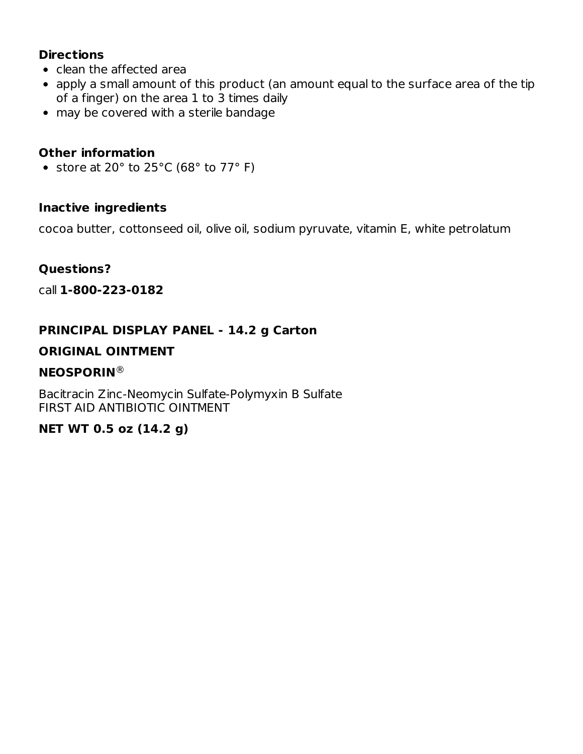# **Directions**

- clean the affected area
- apply a small amount of this product (an amount equal to the surface area of the tip of a finger) on the area 1 to 3 times daily
- may be covered with a sterile bandage

# **Other information**

• store at 20 $\degree$  to 25 $\degree$ C (68 $\degree$  to 77 $\degree$  F)

## **Inactive ingredients**

cocoa butter, cottonseed oil, olive oil, sodium pyruvate, vitamin E, white petrolatum

## **Questions?**

call **1-800-223-0182**

# **PRINCIPAL DISPLAY PANEL - 14.2 g Carton**

## **ORIGINAL OINTMENT**

## **NEOSPORIN** ®

Bacitracin Zinc-Neomycin Sulfate-Polymyxin B Sulfate FIRST AID ANTIBIOTIC OINTMENT

# **NET WT 0.5 oz (14.2 g)**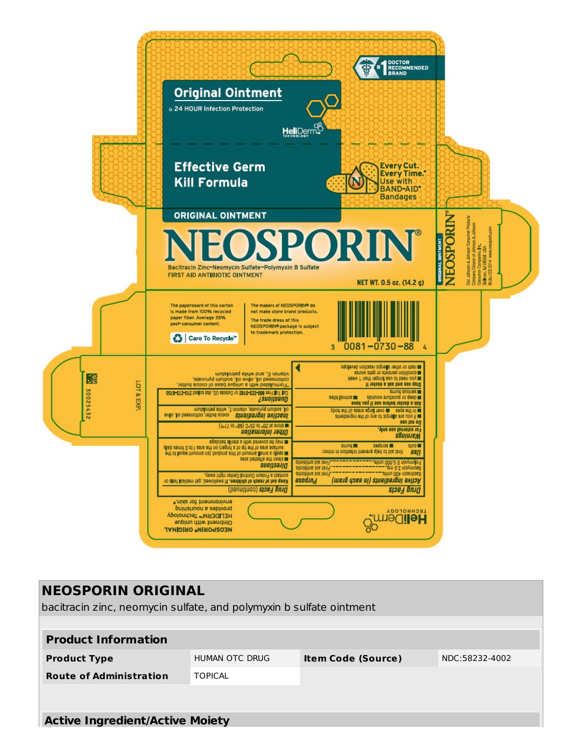

| <b>NEOSPORIN ORIGINAL</b><br>bacitracin zinc, neomycin sulfate, and polymyxin b sulfate ointment |                |                           |                |
|--------------------------------------------------------------------------------------------------|----------------|---------------------------|----------------|
| <b>Product Information</b>                                                                       |                |                           |                |
| <b>Product Type</b>                                                                              | HUMAN OTC DRUG | <b>Item Code (Source)</b> | NDC:58232-4002 |
| <b>Route of Administration</b>                                                                   | <b>TOPICAL</b> |                           |                |
|                                                                                                  |                |                           |                |
| <b>Active Ingredient/Active Moiety</b>                                                           |                |                           |                |